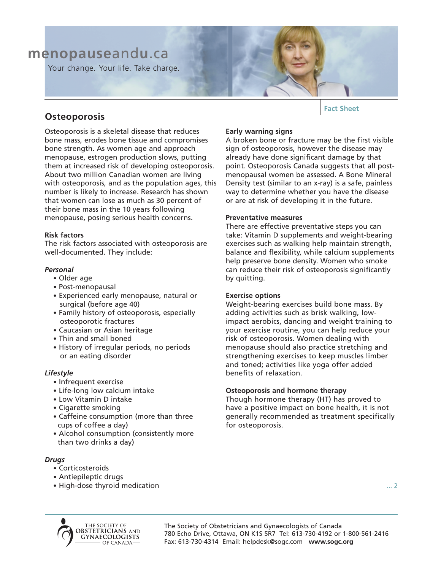# **menopause**and**u**.ca

Your change. Your life. Take charge.

# **Osteoporosis**

Osteoporosis is a skeletal disease that reduces bone mass, erodes bone tissue and compromises bone strength. As women age and approach menopause, estrogen production slows, putting them at increased risk of developing osteoporosis. About two million Canadian women are living with osteoporosis, and as the population ages, this number is likely to increase. Research has shown that women can lose as much as 30 percent of their bone mass in the 10 years following menopause, posing serious health concerns.

# **Risk factors**

The risk factors associated with osteoporosis are well-documented. They include:

# *Personal*

- Older age
- Post-menopausal
- Experienced early menopause, natural or surgical (before age 40)
- Family history of osteoporosis, especially osteoporotic fractures
- Caucasian or Asian heritage
- Thin and small boned
- History of irregular periods, no periods or an eating disorder

# *Lifestyle*

- Infrequent exercise
- Life-long low calcium intake
- Low Vitamin D intake
- Cigarette smoking
- Caffeine consumption (more than three cups of coffee a day)
- Alcohol consumption (consistently more than two drinks a day)

# *Drugs*

- Corticosteroids
- Antiepileptic drugs
- High-dose thyroid medication

# **Fact Sheet**

# **Early warning signs**

A broken bone or fracture may be the first visible sign of osteoporosis, however the disease may already have done significant damage by that point. Osteoporosis Canada suggests that all postmenopausal women be assessed. A Bone Mineral Density test (similar to an x-ray) is a safe, painless way to determine whether you have the disease or are at risk of developing it in the future.

# **Preventative measures**

There are effective preventative steps you can take: Vitamin D supplements and weight-bearing exercises such as walking help maintain strength, balance and flexibility, while calcium supplements help preserve bone density. Women who smoke can reduce their risk of osteoporosis significantly by quitting.

# **Exercise options**

Weight-bearing exercises build bone mass. By adding activities such as brisk walking, lowimpact aerobics, dancing and weight training to your exercise routine, you can help reduce your risk of osteoporosis. Women dealing with menopause should also practice stretching and strengthening exercises to keep muscles limber and toned; activities like yoga offer added benefits of relaxation.

# **Osteoporosis and hormone therapy**

Though hormone therapy (HT) has proved to have a positive impact on bone health, it is not generally recommended as treatment specifically for osteoporosis.



The Society of Obstetricians and Gynaecologists of Canada 780 Echo Drive, Ottawa, ON K1S 5R7 Tel: 613-730-4192 or 1-800-561-2416 Fax: 613-730-4314 Email: helpdesk@sogc.com **www.sogc.org**